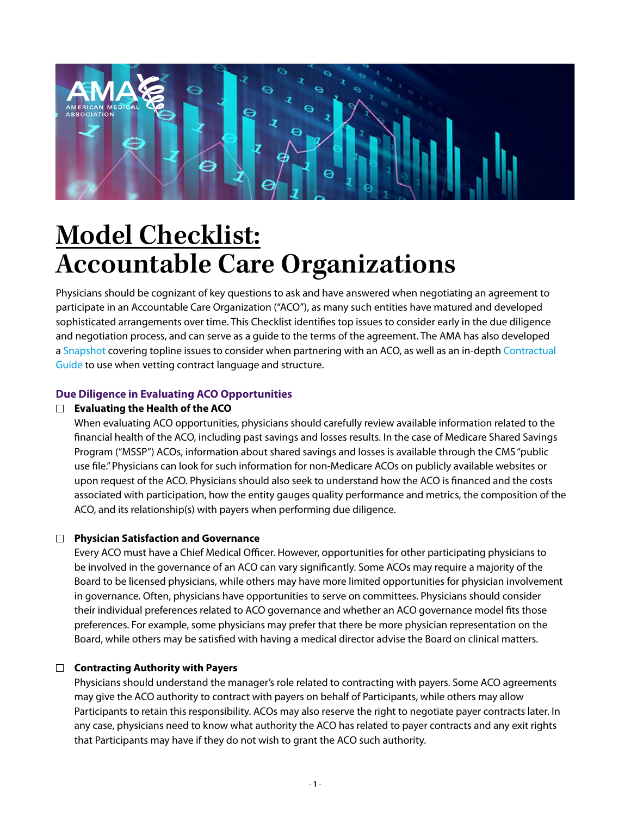

# **Model Checklist: Accountable Care Organizations**

Physicians should be cognizant of key questions to ask and have answered when negotiating an agreement to participate in an Accountable Care Organization ("ACO"), as many such entities have matured and developed sophisticated arrangements over time. This Checklist identifies top issues to consider early in the due diligence and negotiation process, and can serve as a guide to the terms of the agreement. The AMA has also developed a [Snapshot](https://www.ama-assn.org/system/files/2019-06/aco-snapshot.pdf) covering topline issues to consider when partnering with an ACO, as well as an in-depth [Contractual](https://www.ama-assn.org/system/files/2019-06/aco-contractual-agreements.pdf)  [Guide](https://www.ama-assn.org/system/files/2019-06/aco-contractual-agreements.pdf) to use when vetting contract language and structure.

# **Due Diligence in Evaluating ACO Opportunities**

# **Evaluating the Health of the ACO**

When evaluating ACO opportunities, physicians should carefully review available information related to the financial health of the ACO, including past savings and losses results. In the case of Medicare Shared Savings Program ("MSSP") ACOs, information about shared savings and losses is available through the CMS "public use file." Physicians can look for such information for non-Medicare ACOs on publicly available websites or upon request of the ACO. Physicians should also seek to understand how the ACO is financed and the costs associated with participation, how the entity gauges quality performance and metrics, the composition of the ACO, and its relationship(s) with payers when performing due diligence.

## **Physician Satisfaction and Governance**

Every ACO must have a Chief Medical Officer. However, opportunities for other participating physicians to be involved in the governance of an ACO can vary significantly. Some ACOs may require a majority of the Board to be licensed physicians, while others may have more limited opportunities for physician involvement in governance. Often, physicians have opportunities to serve on committees. Physicians should consider their individual preferences related to ACO governance and whether an ACO governance model fits those preferences. For example, some physicians may prefer that there be more physician representation on the Board, while others may be satisfied with having a medical director advise the Board on clinical matters.

## **Contracting Authority with Payers**

Physicians should understand the manager's role related to contracting with payers. Some ACO agreements may give the ACO authority to contract with payers on behalf of Participants, while others may allow Participants to retain this responsibility. ACOs may also reserve the right to negotiate payer contracts later. In any case, physicians need to know what authority the ACO has related to payer contracts and any exit rights that Participants may have if they do not wish to grant the ACO such authority.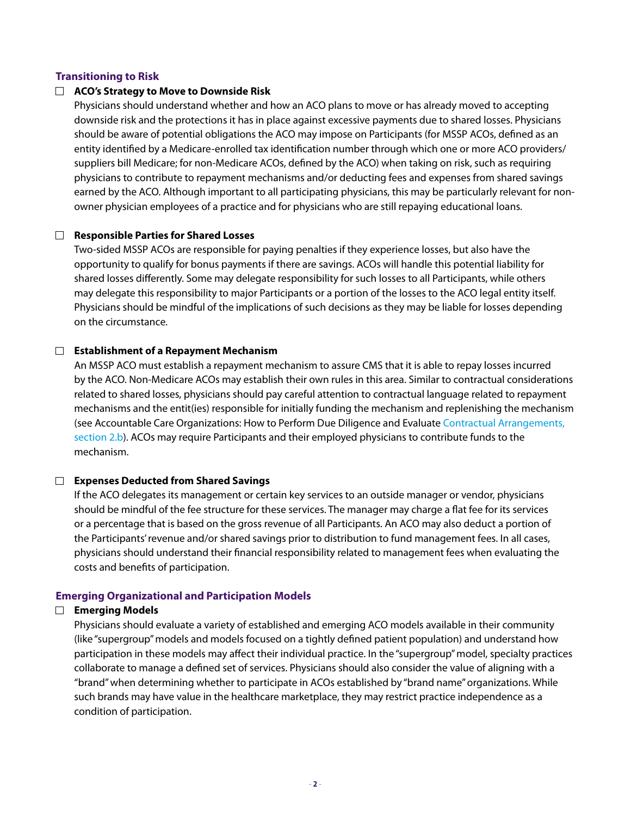## **Transitioning to Risk**

#### **ACO's Strategy to Move to Downside Risk**

Physicians should understand whether and how an ACO plans to move or has already moved to accepting downside risk and the protections it has in place against excessive payments due to shared losses. Physicians should be aware of potential obligations the ACO may impose on Participants (for MSSP ACOs, defined as an entity identified by a Medicare-enrolled tax identification number through which one or more ACO providers/ suppliers bill Medicare; for non-Medicare ACOs, defined by the ACO) when taking on risk, such as requiring physicians to contribute to repayment mechanisms and/or deducting fees and expenses from shared savings earned by the ACO. Although important to all participating physicians, this may be particularly relevant for nonowner physician employees of a practice and for physicians who are still repaying educational loans.

#### **Responsible Parties for Shared Losses**

Two-sided MSSP ACOs are responsible for paying penalties if they experience losses, but also have the opportunity to qualify for bonus payments if there are savings. ACOs will handle this potential liability for shared losses differently. Some may delegate responsibility for such losses to all Participants, while others may delegate this responsibility to major Participants or a portion of the losses to the ACO legal entity itself. Physicians should be mindful of the implications of such decisions as they may be liable for losses depending on the circumstance.

#### **Establishment of a Repayment Mechanism**

An MSSP ACO must establish a repayment mechanism to assure CMS that it is able to repay losses incurred by the ACO. Non-Medicare ACOs may establish their own rules in this area. Similar to contractual considerations related to shared losses, physicians should pay careful attention to contractual language related to repayment mechanisms and the entit(ies) responsible for initially funding the mechanism and replenishing the mechanism (see Accountable Care Organizations: How to Perform Due Diligence and Evaluate [Contractual Arrangements,](file:///.///Hqd02/dept/Cxx/CCG/Payment_Quality/Polsinelli/2019/Deliverables/Phase III_ACOs/Final/Phase III ACO_Contractual Arrangements_FINAL with Links.docx#Section2b)  [section 2.b\)](file:///.///Hqd02/dept/Cxx/CCG/Payment_Quality/Polsinelli/2019/Deliverables/Phase III_ACOs/Final/Phase III ACO_Contractual Arrangements_FINAL with Links.docx#Section2b). ACOs may require Participants and their employed physicians to contribute funds to the mechanism.

#### **Expenses Deducted from Shared Savings**

If the ACO delegates its management or certain key services to an outside manager or vendor, physicians should be mindful of the fee structure for these services. The manager may charge a flat fee for its services or a percentage that is based on the gross revenue of all Participants. An ACO may also deduct a portion of the Participants' revenue and/or shared savings prior to distribution to fund management fees. In all cases, physicians should understand their financial responsibility related to management fees when evaluating the costs and benefits of participation.

#### **Emerging Organizational and Participation Models**

#### **Emerging Models**

Physicians should evaluate a variety of established and emerging ACO models available in their community (like "supergroup" models and models focused on a tightly defined patient population) and understand how participation in these models may affect their individual practice. In the "supergroup" model, specialty practices collaborate to manage a defined set of services. Physicians should also consider the value of aligning with a "brand" when determining whether to participate in ACOs established by "brand name" organizations. While such brands may have value in the healthcare marketplace, they may restrict practice independence as a condition of participation.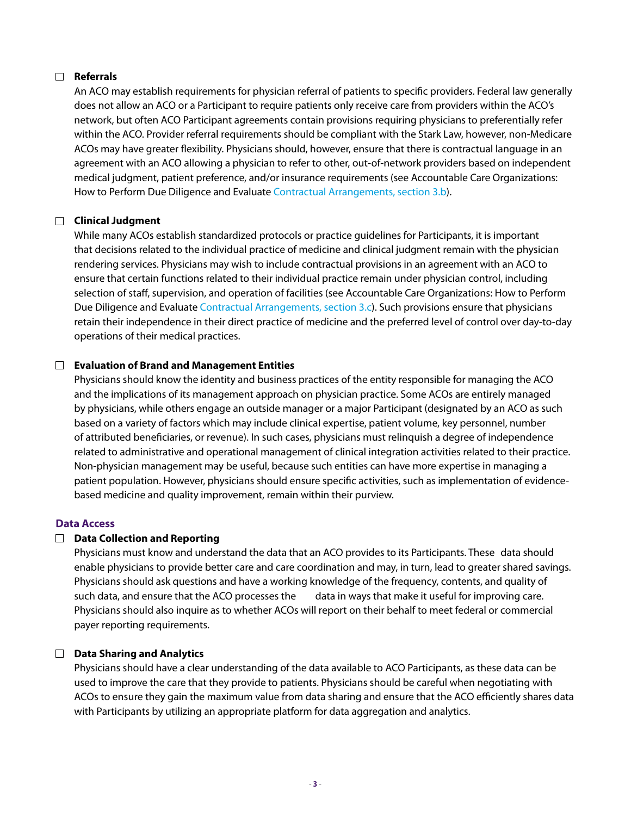## **Referrals**

An ACO may establish requirements for physician referral of patients to specific providers. Federal law generally does not allow an ACO or a Participant to require patients only receive care from providers within the ACO's network, but often ACO Participant agreements contain provisions requiring physicians to preferentially refer within the ACO. Provider referral requirements should be compliant with the Stark Law, however, non-Medicare ACOs may have greater flexibility. Physicians should, however, ensure that there is contractual language in an agreement with an ACO allowing a physician to refer to other, out-of-network providers based on independent medical judgment, patient preference, and/or insurance requirements (see Accountable Care Organizations: How to Perform Due Diligence and Evaluate [Contractual Arrangements, section 3.b](file:///.///Hqd02/dept/Cxx/CCG/Payment_Quality/Polsinelli/2019/Deliverables/Phase III_ACOs/Final/Phase III ACO_Contractual Arrangements_FINAL with Links.docx#Section3b)).

## **Clinical Judgment**

While many ACOs establish standardized protocols or practice guidelines for Participants, it is important that decisions related to the individual practice of medicine and clinical judgment remain with the physician rendering services. Physicians may wish to include contractual provisions in an agreement with an ACO to ensure that certain functions related to their individual practice remain under physician control, including selection of staff, supervision, and operation of facilities (see Accountable Care Organizations: How to Perform Due Diligence and Evaluate [Contractual Arrangements, section 3.c\)](file:///.///Hqd02/dept/Cxx/CCG/Payment_Quality/Polsinelli/2019/Deliverables/Phase III_ACOs/Final/Phase III ACO_Contractual Arrangements_FINAL with Links.docx#Section3c). Such provisions ensure that physicians retain their independence in their direct practice of medicine and the preferred level of control over day-to-day operations of their medical practices.

## **Evaluation of Brand and Management Entities**

Physicians should know the identity and business practices of the entity responsible for managing the ACO and the implications of its management approach on physician practice. Some ACOs are entirely managed by physicians, while others engage an outside manager or a major Participant (designated by an ACO as such based on a variety of factors which may include clinical expertise, patient volume, key personnel, number of attributed beneficiaries, or revenue). In such cases, physicians must relinquish a degree of independence related to administrative and operational management of clinical integration activities related to their practice. Non-physician management may be useful, because such entities can have more expertise in managing a patient population. However, physicians should ensure specific activities, such as implementation of evidencebased medicine and quality improvement, remain within their purview.

#### **Data Access**

## **Data Collection and Reporting**

Physicians must know and understand the data that an ACO provides to its Participants. These data should enable physicians to provide better care and care coordination and may, in turn, lead to greater shared savings. Physicians should ask questions and have a working knowledge of the frequency, contents, and quality of such data, and ensure that the ACO processes the data in ways that make it useful for improving care. Physicians should also inquire as to whether ACOs will report on their behalf to meet federal or commercial payer reporting requirements.

## **Data Sharing and Analytics**

Physicians should have a clear understanding of the data available to ACO Participants, as these data can be used to improve the care that they provide to patients. Physicians should be careful when negotiating with ACOs to ensure they gain the maximum value from data sharing and ensure that the ACO efficiently shares data with Participants by utilizing an appropriate platform for data aggregation and analytics.